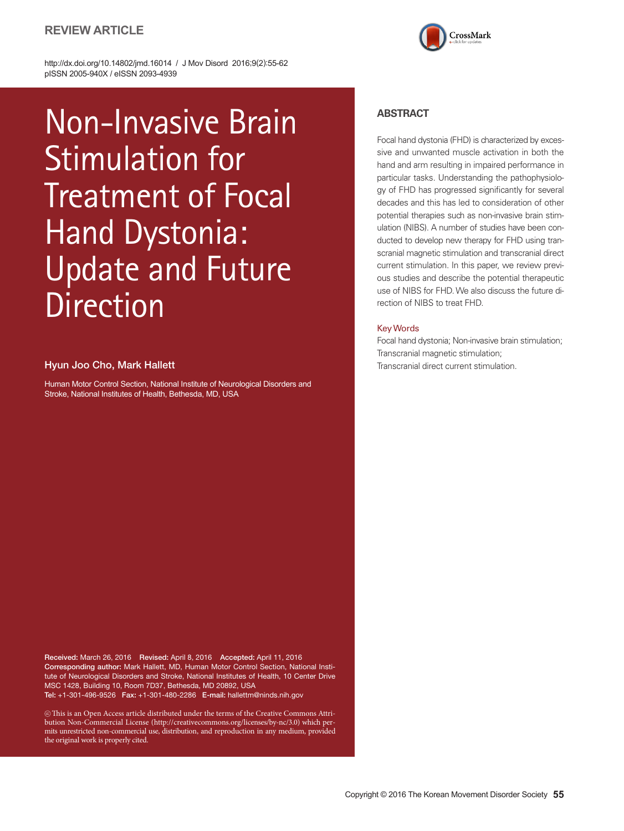# **REVIEW ARTICLE**



http://dx.doi.org/10.14802/jmd.16014 / J Mov Disord 2016;9(2):55-62 pISSN 2005-940X / eISSN 2093-4939

# Non-Invasive Brain Stimulation for Treatment of Focal Hand Dystonia: Update and Future Direction

## Hyun Joo Cho, Mark Hallett

Human Motor Control Section, National Institute of Neurological Disorders and Stroke, National Institutes of Health, Bethesda, MD, USA

## **ABSTRACT**

Focal hand dystonia (FHD) is characterized by excessive and unwanted muscle activation in both the hand and arm resulting in impaired performance in particular tasks. Understanding the pathophysiology of FHD has progressed significantly for several decades and this has led to consideration of other potential therapies such as non-invasive brain stimulation (NIBS). A number of studies have been conducted to develop new therapy for FHD using transcranial magnetic stimulation and transcranial direct current stimulation. In this paper, we review previous studies and describe the potential therapeutic use of NIBS for FHD. We also discuss the future direction of NIBS to treat FHD.

## Key Words

Focal hand dystonia; Non-invasive brain stimulation; Transcranial magnetic stimulation; Transcranial direct current stimulation.

Received: March 26, 2016 Revised: April 8, 2016 Accepted: April 11, 2016 Corresponding author: Mark Hallett, MD, Human Motor Control Section, National Institute of Neurological Disorders and Stroke, National Institutes of Health, 10 Center Drive MSC 1428, Building 10, Room 7D37, Bethesda, MD 20892, USA Tel: +1-301-496-9526 Fax: +1-301-480-2286 E-mail: hallettm@ninds.nih.gov

 $\circledast$  This is an Open Access article distributed under the terms of the Creative Commons Attribution Non-Commercial License (http://creativecommons.org/licenses/by-nc/3.0) which permits unrestricted non-commercial use, distribution, and reproduction in any medium, provided the original work is properly cited.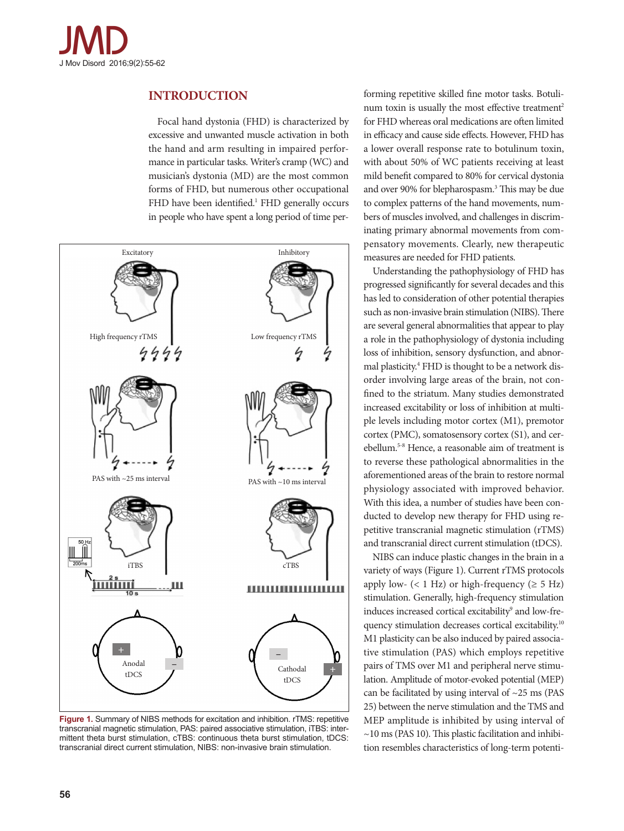

# **INTRODUCTION**

Focal hand dystonia (FHD) is characterized by excessive and unwanted muscle activation in both the hand and arm resulting in impaired performance in particular tasks. Writer's cramp (WC) and musician's dystonia (MD) are the most common forms of FHD, but numerous other occupational FHD have been identified.<sup>1</sup> FHD generally occurs in people who have spent a long period of time per-



Figure 1. Summary of NIBS methods for excitation and inhibition. rTMS: repetitive transcranial magnetic stimulation, PAS: paired associative stimulation, iTBS: intermittent theta burst stimulation, cTBS: continuous theta burst stimulation, tDCS: transcranial direct current stimulation, NIBS: non-invasive brain stimulation.

forming repetitive skilled fine motor tasks. Botulinum toxin is usually the most effective treatment<sup>2</sup> for FHD whereas oral medications are often limited in efficacy and cause side effects. However, FHD has a lower overall response rate to botulinum toxin, with about 50% of WC patients receiving at least mild benefit compared to 80% for cervical dystonia and over 90% for blepharospasm.<sup>3</sup> This may be due to complex patterns of the hand movements, numbers of muscles involved, and challenges in discriminating primary abnormal movements from compensatory movements. Clearly, new therapeutic measures are needed for FHD patients.

Understanding the pathophysiology of FHD has progressed significantly for several decades and this has led to consideration of other potential therapies such as non-invasive brain stimulation (NIBS). There are several general abnormalities that appear to play a role in the pathophysiology of dystonia including loss of inhibition, sensory dysfunction, and abnormal plasticity.<sup>4</sup> FHD is thought to be a network disorder involving large areas of the brain, not confined to the striatum. Many studies demonstrated increased excitability or loss of inhibition at multiple levels including motor cortex (M1), premotor cortex (PMC), somatosensory cortex (S1), and cerebellum.5-8 Hence, a reasonable aim of treatment is to reverse these pathological abnormalities in the aforementioned areas of the brain to restore normal physiology associated with improved behavior. With this idea, a number of studies have been conducted to develop new therapy for FHD using repetitive transcranial magnetic stimulation (rTMS) and transcranial direct current stimulation (tDCS).

NIBS can induce plastic changes in the brain in a variety of ways (Figure 1). Current rTMS protocols apply low-  $(< 1$  Hz) or high-frequency  $(\geq 5$  Hz) stimulation. Generally, high-frequency stimulation induces increased cortical excitability<sup>9</sup> and low-frequency stimulation decreases cortical excitability.<sup>10</sup> M1 plasticity can be also induced by paired associative stimulation (PAS) which employs repetitive pairs of TMS over M1 and peripheral nerve stimulation. Amplitude of motor-evoked potential (MEP) can be facilitated by using interval of  $\sim$ 25 ms (PAS 25) between the nerve stimulation and the TMS and MEP amplitude is inhibited by using interval of  $\sim$ 10 ms (PAS 10). This plastic facilitation and inhibition resembles characteristics of long-term potenti-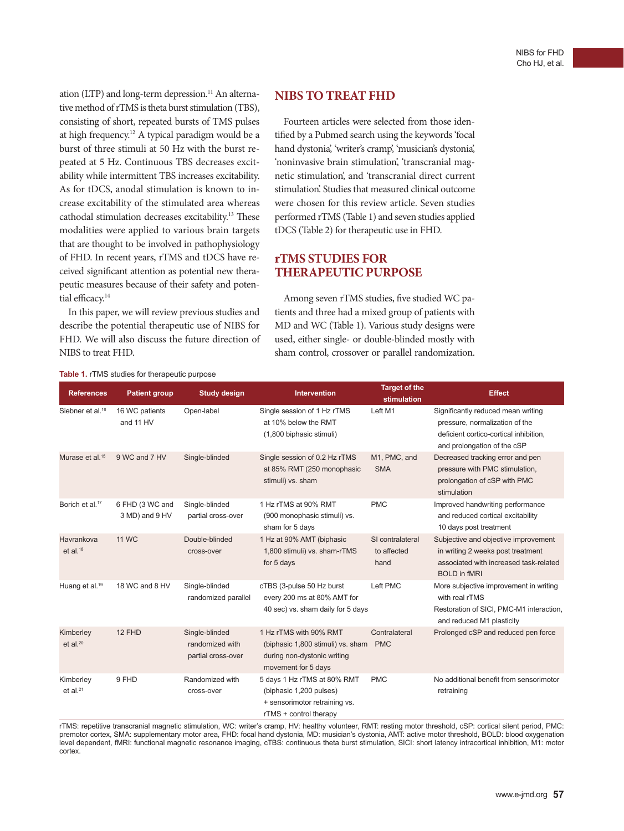ation (LTP) and long-term depression.<sup>11</sup> An alternative method of rTMS is theta burst stimulation (TBS), consisting of short, repeated bursts of TMS pulses at high frequency.12 A typical paradigm would be a burst of three stimuli at 50 Hz with the burst repeated at 5 Hz. Continuous TBS decreases excitability while intermittent TBS increases excitability. As for tDCS, anodal stimulation is known to increase excitability of the stimulated area whereas cathodal stimulation decreases excitability.13 These modalities were applied to various brain targets that are thought to be involved in pathophysiology of FHD. In recent years, rTMS and tDCS have received significant attention as potential new therapeutic measures because of their safety and potential efficacy.<sup>14</sup>

In this paper, we will review previous studies and describe the potential therapeutic use of NIBS for FHD. We will also discuss the future direction of NIBS to treat FHD.

# **NIBS TO TREAT FHD**

Fourteen articles were selected from those identified by a Pubmed search using the keywords 'focal hand dystonia', 'writer's cramp', 'musician's dystonia', 'noninvasive brain stimulation', 'transcranial magnetic stimulation', and 'transcranial direct current stimulation'. Studies that measured clinical outcome were chosen for this review article. Seven studies performed rTMS (Table 1) and seven studies applied tDCS (Table 2) for therapeutic use in FHD.

# **rTMS STUDIES FOR THERAPEUTIC PURPOSE**

Among seven rTMS studies, five studied WC patients and three had a mixed group of patients with MD and WC (Table 1). Various study designs were used, either single- or double-blinded mostly with sham control, crossover or parallel randomization.

| <b>References</b>                    | <b>Patient group</b>              | <b>Study design</b>                                     | <b>Intervention</b>                                                                                               | <b>Target of the</b><br>stimulation     | <b>Effect</b>                                                                                                                                 |
|--------------------------------------|-----------------------------------|---------------------------------------------------------|-------------------------------------------------------------------------------------------------------------------|-----------------------------------------|-----------------------------------------------------------------------------------------------------------------------------------------------|
| Siebner et al. <sup>16</sup>         | 16 WC patients<br>and 11 HV       | Open-label                                              | Single session of 1 Hz rTMS<br>at 10% below the RMT<br>(1,800 biphasic stimuli)                                   | Left M1                                 | Significantly reduced mean writing<br>pressure, normalization of the<br>deficient cortico-cortical inhibition,<br>and prolongation of the cSP |
| Murase et al. <sup>15</sup>          | 9 WC and 7 HV                     | Single-blinded                                          | Single session of 0.2 Hz rTMS<br>at 85% RMT (250 monophasic<br>stimuli) vs. sham                                  | M1, PMC, and<br><b>SMA</b>              | Decreased tracking error and pen<br>pressure with PMC stimulation,<br>prolongation of cSP with PMC<br>stimulation                             |
| Borich et al. <sup>17</sup>          | 6 FHD (3 WC and<br>3 MD) and 9 HV | Single-blinded<br>partial cross-over                    | 1 Hz rTMS at 90% RMT<br>(900 monophasic stimuli) vs.<br>sham for 5 days                                           | <b>PMC</b>                              | Improved handwriting performance<br>and reduced cortical excitability<br>10 days post treatment                                               |
| Havrankova<br>$et$ al. <sup>18</sup> | <b>11 WC</b>                      | Double-blinded<br>cross-over                            | 1 Hz at 90% AMT (biphasic<br>1,800 stimuli) vs. sham-rTMS<br>for 5 days                                           | SI contralateral<br>to affected<br>hand | Subjective and objective improvement<br>in writing 2 weeks post treatment<br>associated with increased task-related<br><b>BOLD</b> in fMRI    |
| Huang et al. <sup>19</sup>           | 18 WC and 8 HV                    | Single-blinded<br>randomized parallel                   | cTBS (3-pulse 50 Hz burst<br>every 200 ms at 80% AMT for<br>40 sec) vs. sham daily for 5 days                     | Left PMC                                | More subjective improvement in writing<br>with real rTMS<br>Restoration of SICI, PMC-M1 interaction,<br>and reduced M1 plasticity             |
| Kimberley<br>et al. $20$             | 12 FHD                            | Single-blinded<br>randomized with<br>partial cross-over | 1 Hz rTMS with 90% RMT<br>(biphasic 1,800 stimuli) vs. sham<br>during non-dystonic writing<br>movement for 5 days | Contralateral<br><b>PMC</b>             | Prolonged cSP and reduced pen force                                                                                                           |
| Kimberley<br>et al. $^{21}$          | 9 FHD                             | Randomized with<br>cross-over                           | 5 days 1 Hz rTMS at 80% RMT<br>(biphasic 1,200 pulses)<br>+ sensorimotor retraining vs.<br>rTMS + control therapy | <b>PMC</b>                              | No additional benefit from sensorimotor<br>retraining                                                                                         |

rTMS: repetitive transcranial magnetic stimulation, WC: writer's cramp, HV: healthy volunteer, RMT: resting motor threshold, cSP: cortical silent period, PMC: premotor cortex, SMA: supplementary motor area, FHD: focal hand dystonia, MD: musician's dystonia, AMT: active motor threshold, BOLD: blood oxygenation level dependent, fMRI: functional magnetic resonance imaging, cTBS: continuous theta burst stimulation, SICI: short latency intracortical inhibition, M1: motor cortex.

#### **Table 1.** rTMS studies for therapeutic purpose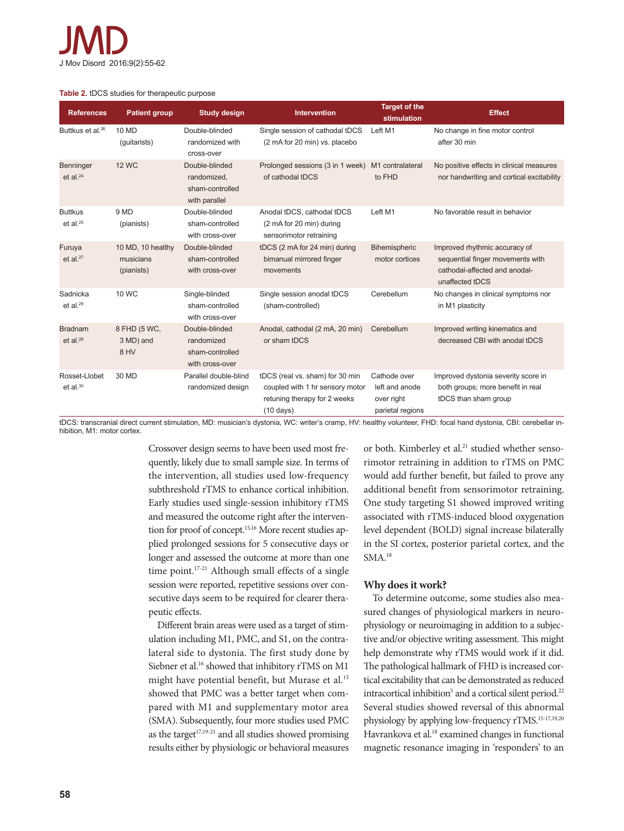#### **Table 2.** tDCS studies for therapeutic purpose

| <b>References</b>               | <b>Patient group</b>                         | <b>Study design</b>                                                | <b>Intervention</b>                                                                                                       | <b>Target of the</b><br>stimulation                              | <b>Effect</b>                                                                                                         |
|---------------------------------|----------------------------------------------|--------------------------------------------------------------------|---------------------------------------------------------------------------------------------------------------------------|------------------------------------------------------------------|-----------------------------------------------------------------------------------------------------------------------|
| Buttkus et al. <sup>26</sup>    | 10 MD<br>(quitarists)                        | Double-blinded<br>randomized with<br>cross-over                    | Single session of cathodal tDCS<br>(2 mA for 20 min) vs. placebo                                                          | Left M1                                                          | No change in fine motor control<br>after 30 min                                                                       |
| <b>Benninger</b><br>et al. $24$ | <b>12 WC</b>                                 | Double-blinded<br>randomized,<br>sham-controlled<br>with parallel  | Prolonged sessions (3 in 1 week) M1 contralateral<br>of cathodal tDCS                                                     | to FHD                                                           | No positive effects in clinical measures<br>nor handwriting and cortical excitability                                 |
| <b>Buttkus</b><br>et al. $25$   | 9 MD<br>(pianists)                           | Double-blinded<br>sham-controlled<br>with cross-over               | Anodal tDCS, cathodal tDCS<br>(2 mA for 20 min) during<br>sensorimotor retraining                                         | Left M1                                                          | No favorable result in behavior                                                                                       |
| Furuya<br>et al. $27$           | 10 MD, 10 healthy<br>musicians<br>(pianists) | Double-blinded<br>sham-controlled<br>with cross-over               | tDCS (2 mA for 24 min) during<br>bimanual mirrored finger<br>movements                                                    | Bihemispheric<br>motor cortices                                  | Improved rhythmic accuracy of<br>sequential finger movements with<br>cathodal-affected and anodal-<br>unaffected tDCS |
| Sadnicka<br>et al. $29$         | 10 WC                                        | Single-blinded<br>sham-controlled<br>with cross-over               | Single session anodal tDCS<br>(sham-controlled)                                                                           | Cerebellum                                                       | No changes in clinical symptoms nor<br>in M1 plasticity                                                               |
| <b>Bradnam</b><br>et al. $28$   | 8 FHD (5 WC,<br>3 MD) and<br>8 HV            | Double-blinded<br>randomized<br>sham-controlled<br>with cross-over | Anodal, cathodal (2 mA, 20 min)<br>or sham tDCS                                                                           | Cerebellum                                                       | Improved writing kinematics and<br>decreased CBI with anodal tDCS                                                     |
| Rosset-Llobet<br>et al. $30$    | 30 MD                                        | Parallel double-blind<br>randomized design                         | tDCS (real vs. sham) for 30 min<br>coupled with 1 hr sensory motor<br>retuning therapy for 2 weeks<br>$(10 \text{ days})$ | Cathode over<br>left and anode<br>over right<br>parietal regions | Improved dystonia severity score in<br>both groups; more benefit in real<br>tDCS than sham group                      |

tDCS: transcranial direct current stimulation, MD: musician's dystonia, WC: writer's cramp, HV: healthy volunteer, FHD: focal hand dystonia, CBI: cerebellar inhibition, M1: motor cortex.

> Crossover design seems to have been used most frequently, likely due to small sample size. In terms of the intervention, all studies used low-frequency subthreshold rTMS to enhance cortical inhibition. Early studies used single-session inhibitory rTMS and measured the outcome right after the intervention for proof of concept.<sup>15,16</sup> More recent studies applied prolonged sessions for 5 consecutive days or longer and assessed the outcome at more than one time point.<sup>17-21</sup> Although small effects of a single session were reported, repetitive sessions over consecutive days seem to be required for clearer therapeutic effects.

> Different brain areas were used as a target of stimulation including M1, PMC, and S1, on the contralateral side to dystonia. The first study done by Siebner et al.<sup>16</sup> showed that inhibitory rTMS on M1 might have potential benefit, but Murase et al.<sup>15</sup> showed that PMC was a better target when compared with M1 and supplementary motor area (SMA). Subsequently, four more studies used PMC as the target<sup>17,19-21</sup> and all studies showed promising results either by physiologic or behavioral measures

or both. Kimberley et al.<sup>21</sup> studied whether sensorimotor retraining in addition to rTMS on PMC would add further benefit, but failed to prove any additional benefit from sensorimotor retraining. One study targeting S1 showed improved writing associated with rTMS-induced blood oxygenation level dependent (BOLD) signal increase bilaterally in the SI cortex, posterior parietal cortex, and the SMA.18

## **Why does it work?**

To determine outcome, some studies also measured changes of physiological markers in neurophysiology or neuroimaging in addition to a subjective and/or objective writing assessment. This might help demonstrate why rTMS would work if it did. The pathological hallmark of FHD is increased cortical excitability that can be demonstrated as reduced intracortical inhibition<sup>5</sup> and a cortical silent period.<sup>22</sup> Several studies showed reversal of this abnormal physiology by applying low-frequency rTMS.15-17,19,20 Havrankova et al.<sup>18</sup> examined changes in functional magnetic resonance imaging in 'responders' to an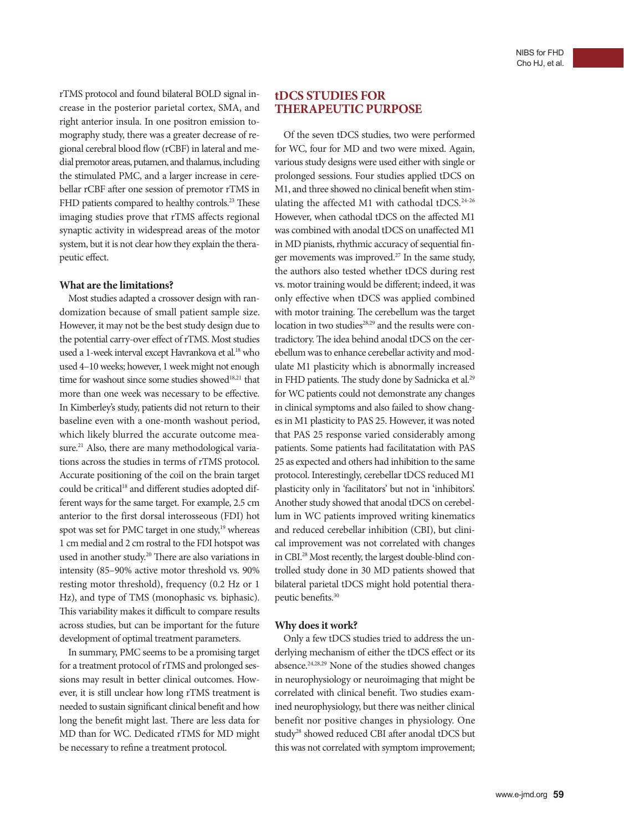rTMS protocol and found bilateral BOLD signal increase in the posterior parietal cortex, SMA, and right anterior insula. In one positron emission tomography study, there was a greater decrease of regional cerebral blood flow (rCBF) in lateral and medial premotor areas, putamen, and thalamus, including the stimulated PMC, and a larger increase in cerebellar rCBF after one session of premotor rTMS in FHD patients compared to healthy controls.<sup>23</sup> These imaging studies prove that rTMS affects regional synaptic activity in widespread areas of the motor system, but it is not clear how they explain the therapeutic effect.

## **What are the limitations?**

Most studies adapted a crossover design with randomization because of small patient sample size. However, it may not be the best study design due to the potential carry-over effect of rTMS. Most studies used a 1-week interval except Havrankova et al.<sup>18</sup> who used 4–10 weeks; however, 1 week might not enough time for washout since some studies showed<sup>18,21</sup> that more than one week was necessary to be effective. In Kimberley's study, patients did not return to their baseline even with a one-month washout period, which likely blurred the accurate outcome measure.<sup>21</sup> Also, there are many methodological variations across the studies in terms of rTMS protocol. Accurate positioning of the coil on the brain target could be critical<sup>18</sup> and different studies adopted different ways for the same target. For example, 2.5 cm anterior to the first dorsal interosseous (FDI) hot spot was set for PMC target in one study,<sup>19</sup> whereas 1 cm medial and 2 cm rostral to the FDI hotspot was used in another study.<sup>20</sup> There are also variations in intensity (85–90% active motor threshold vs. 90% resting motor threshold), frequency (0.2 Hz or 1 Hz), and type of TMS (monophasic vs. biphasic). This variability makes it difficult to compare results across studies, but can be important for the future development of optimal treatment parameters.

In summary, PMC seems to be a promising target for a treatment protocol of rTMS and prolonged sessions may result in better clinical outcomes. However, it is still unclear how long rTMS treatment is needed to sustain significant clinical benefit and how long the benefit might last. There are less data for MD than for WC. Dedicated rTMS for MD might be necessary to refine a treatment protocol.

# **tDCS STUDIES FOR THERAPEUTIC PURPOSE**

Of the seven tDCS studies, two were performed for WC, four for MD and two were mixed. Again, various study designs were used either with single or prolonged sessions. Four studies applied tDCS on M1, and three showed no clinical benefit when stimulating the affected M1 with cathodal tDCS. $24-26$ However, when cathodal tDCS on the affected M1 was combined with anodal tDCS on unaffected M1 in MD pianists, rhythmic accuracy of sequential finger movements was improved.<sup>27</sup> In the same study, the authors also tested whether tDCS during rest vs. motor training would be different; indeed, it was only effective when tDCS was applied combined with motor training. The cerebellum was the target location in two studies<sup>28,29</sup> and the results were contradictory. The idea behind anodal tDCS on the cerebellum was to enhance cerebellar activity and modulate M1 plasticity which is abnormally increased in FHD patients. The study done by Sadnicka et al.<sup>29</sup> for WC patients could not demonstrate any changes in clinical symptoms and also failed to show changes in M1 plasticity to PAS 25. However, it was noted that PAS 25 response varied considerably among patients. Some patients had facilitatation with PAS 25 as expected and others had inhibition to the same protocol. Interestingly, cerebellar tDCS reduced M1 plasticity only in 'facilitators' but not in 'inhibitors'. Another study showed that anodal tDCS on cerebellum in WC patients improved writing kinematics and reduced cerebellar inhibition (CBI), but clinical improvement was not correlated with changes in CBI.28 Most recently, the largest double-blind controlled study done in 30 MD patients showed that bilateral parietal tDCS might hold potential therapeutic benefits.30

#### **Why does it work?**

Only a few tDCS studies tried to address the underlying mechanism of either the tDCS effect or its absence.24,28,29 None of the studies showed changes in neurophysiology or neuroimaging that might be correlated with clinical benefit. Two studies examined neurophysiology, but there was neither clinical benefit nor positive changes in physiology. One study<sup>28</sup> showed reduced CBI after anodal tDCS but this was not correlated with symptom improvement;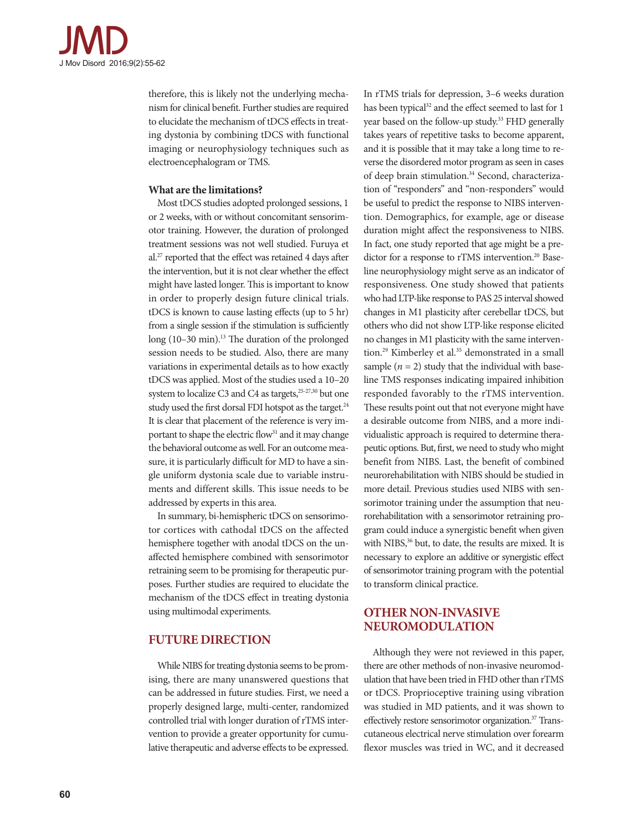

therefore, this is likely not the underlying mechanism for clinical benefit. Further studies are required to elucidate the mechanism of tDCS effects in treating dystonia by combining tDCS with functional imaging or neurophysiology techniques such as electroencephalogram or TMS.

## **What are the limitations?**

Most tDCS studies adopted prolonged sessions, 1 or 2 weeks, with or without concomitant sensorimotor training. However, the duration of prolonged treatment sessions was not well studied. Furuya et al.27 reported that the effect was retained 4 days after the intervention, but it is not clear whether the effect might have lasted longer. This is important to know in order to properly design future clinical trials. tDCS is known to cause lasting effects (up to 5 hr) from a single session if the stimulation is sufficiently long (10–30 min).<sup>13</sup> The duration of the prolonged session needs to be studied. Also, there are many variations in experimental details as to how exactly tDCS was applied. Most of the studies used a 10–20 system to localize C3 and C4 as targets,<sup>25-27,30</sup> but one study used the first dorsal FDI hotspot as the target.<sup>24</sup> It is clear that placement of the reference is very important to shape the electric flow<sup>31</sup> and it may change the behavioral outcome as well. For an outcome measure, it is particularly difficult for MD to have a single uniform dystonia scale due to variable instruments and different skills. This issue needs to be addressed by experts in this area.

In summary, bi-hemispheric tDCS on sensorimotor cortices with cathodal tDCS on the affected hemisphere together with anodal tDCS on the unaffected hemisphere combined with sensorimotor retraining seem to be promising for therapeutic purposes. Further studies are required to elucidate the mechanism of the tDCS effect in treating dystonia using multimodal experiments.

## **FUTURE DIRECTION**

While NIBS for treating dystonia seems to be promising, there are many unanswered questions that can be addressed in future studies. First, we need a properly designed large, multi-center, randomized controlled trial with longer duration of rTMS intervention to provide a greater opportunity for cumulative therapeutic and adverse effects to be expressed. In rTMS trials for depression, 3–6 weeks duration has been typical<sup>32</sup> and the effect seemed to last for 1 year based on the follow-up study.<sup>33</sup> FHD generally takes years of repetitive tasks to become apparent, and it is possible that it may take a long time to reverse the disordered motor program as seen in cases of deep brain stimulation.<sup>34</sup> Second, characterization of "responders" and "non-responders" would be useful to predict the response to NIBS intervention. Demographics, for example, age or disease duration might affect the responsiveness to NIBS. In fact, one study reported that age might be a predictor for a response to rTMS intervention.<sup>20</sup> Baseline neurophysiology might serve as an indicator of responsiveness. One study showed that patients who had LTP-like response to PAS 25 interval showed changes in M1 plasticity after cerebellar tDCS, but others who did not show LTP-like response elicited no changes in M1 plasticity with the same intervention.<sup>29</sup> Kimberley et al.<sup>35</sup> demonstrated in a small sample  $(n = 2)$  study that the individual with baseline TMS responses indicating impaired inhibition responded favorably to the rTMS intervention. These results point out that not everyone might have a desirable outcome from NIBS, and a more individualistic approach is required to determine therapeutic options. But, first, we need to study who might benefit from NIBS. Last, the benefit of combined neurorehabilitation with NIBS should be studied in more detail. Previous studies used NIBS with sensorimotor training under the assumption that neurorehabilitation with a sensorimotor retraining program could induce a synergistic benefit when given with NIBS,<sup>36</sup> but, to date, the results are mixed. It is necessary to explore an additive or synergistic effect of sensorimotor training program with the potential to transform clinical practice.

# **OTHER NON-INVASIVE NEUROMODULATION**

Although they were not reviewed in this paper, there are other methods of non-invasive neuromodulation that have been tried in FHD other than rTMS or tDCS. Proprioceptive training using vibration was studied in MD patients, and it was shown to effectively restore sensorimotor organization.<sup>37</sup> Transcutaneous electrical nerve stimulation over forearm flexor muscles was tried in WC, and it decreased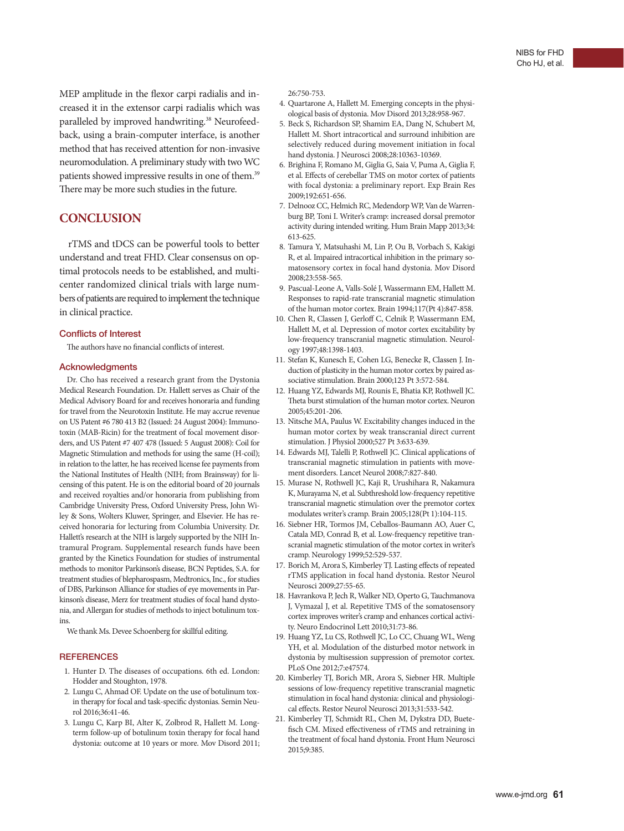MEP amplitude in the flexor carpi radialis and increased it in the extensor carpi radialis which was paralleled by improved handwriting.<sup>38</sup> Neurofeedback, using a brain-computer interface, is another method that has received attention for non-invasive neuromodulation. A preliminary study with two WC patients showed impressive results in one of them.<sup>39</sup> There may be more such studies in the future.

## **CONCLUSION**

rTMS and tDCS can be powerful tools to better understand and treat FHD. Clear consensus on optimal protocols needs to be established, and multicenter randomized clinical trials with large numbers of patients are required to implement the technique in clinical practice.

#### Conflicts of Interest

The authors have no financial conflicts of interest.

#### Acknowledgments

Dr. Cho has received a research grant from the Dystonia Medical Research Foundation. Dr. Hallett serves as Chair of the Medical Advisory Board for and receives honoraria and funding for travel from the Neurotoxin Institute. He may accrue revenue on US Patent #6 780 413 B2 (Issued: 24 August 2004): Immunotoxin (MAB-Ricin) for the treatment of focal movement disorders, and US Patent #7 407 478 (Issued: 5 August 2008): Coil for Magnetic Stimulation and methods for using the same (H-coil); in relation to the latter, he has received license fee payments from the National Institutes of Health (NIH; from Brainsway) for licensing of this patent. He is on the editorial board of 20 journals and received royalties and/or honoraria from publishing from Cambridge University Press, Oxford University Press, John Wiley & Sons, Wolters Kluwer, Springer, and Elsevier. He has received honoraria for lecturing from Columbia University. Dr. Hallett's research at the NIH is largely supported by the NIH Intramural Program. Supplemental research funds have been granted by the Kinetics Foundation for studies of instrumental methods to monitor Parkinson's disease, BCN Peptides, S.A. for treatment studies of blepharospasm, Medtronics, Inc., for studies of DBS, Parkinson Alliance for studies of eye movements in Parkinson's disease, Merz for treatment studies of focal hand dystonia, and Allergan for studies of methods to inject botulinum toxins.

We thank Ms. Devee Schoenberg for skillful editing.

#### **REFERENCES**

- 1. Hunter D. The diseases of occupations. 6th ed. London: Hodder and Stoughton, 1978.
- 2. Lungu C, Ahmad OF. Update on the use of botulinum toxin therapy for focal and task-specific dystonias. Semin Neurol 2016;36:41-46.
- 3. Lungu C, Karp BI, Alter K, Zolbrod R, Hallett M. Longterm follow-up of botulinum toxin therapy for focal hand dystonia: outcome at 10 years or more. Mov Disord 2011;

#### 26:750-753.

- 4. Quartarone A, Hallett M. Emerging concepts in the physiological basis of dystonia. Mov Disord 2013;28:958-967.
- 5. Beck S, Richardson SP, Shamim EA, Dang N, Schubert M, Hallett M. Short intracortical and surround inhibition are selectively reduced during movement initiation in focal hand dystonia. J Neurosci 2008;28:10363-10369.
- 6. Brighina F, Romano M, Giglia G, Saia V, Puma A, Giglia F, et al. Effects of cerebellar TMS on motor cortex of patients with focal dystonia: a preliminary report. Exp Brain Res 2009;192:651-656.
- 7. Delnooz CC, Helmich RC, Medendorp WP, Van de Warrenburg BP, Toni I. Writer's cramp: increased dorsal premotor activity during intended writing. Hum Brain Mapp 2013;34: 613-625.
- 8. Tamura Y, Matsuhashi M, Lin P, Ou B, Vorbach S, Kakigi R, et al. Impaired intracortical inhibition in the primary somatosensory cortex in focal hand dystonia. Mov Disord 2008;23:558-565.
- 9. Pascual-Leone A, Valls-Solé J, Wassermann EM, Hallett M. Responses to rapid-rate transcranial magnetic stimulation of the human motor cortex. Brain 1994;117(Pt 4):847-858.
- 10. Chen R, Classen J, Gerloff C, Celnik P, Wassermann EM, Hallett M, et al. Depression of motor cortex excitability by low-frequency transcranial magnetic stimulation. Neurology 1997;48:1398-1403.
- 11. Stefan K, Kunesch E, Cohen LG, Benecke R, Classen J. Induction of plasticity in the human motor cortex by paired associative stimulation. Brain 2000;123 Pt 3:572-584.
- 12. Huang YZ, Edwards MJ, Rounis E, Bhatia KP, Rothwell JC. Theta burst stimulation of the human motor cortex. Neuron 2005;45:201-206.
- 13. Nitsche MA, Paulus W. Excitability changes induced in the human motor cortex by weak transcranial direct current stimulation. J Physiol 2000;527 Pt 3:633-639.
- 14. Edwards MJ, Talelli P, Rothwell JC. Clinical applications of transcranial magnetic stimulation in patients with movement disorders. Lancet Neurol 2008;7:827-840.
- 15. Murase N, Rothwell JC, Kaji R, Urushihara R, Nakamura K, Murayama N, et al. Subthreshold low-frequency repetitive transcranial magnetic stimulation over the premotor cortex modulates writer's cramp. Brain 2005;128(Pt 1):104-115.
- 16. Siebner HR, Tormos JM, Ceballos-Baumann AO, Auer C, Catala MD, Conrad B, et al. Low-frequency repetitive transcranial magnetic stimulation of the motor cortex in writer's cramp. Neurology 1999;52:529-537.
- 17. Borich M, Arora S, Kimberley TJ. Lasting effects of repeated rTMS application in focal hand dystonia. Restor Neurol Neurosci 2009;27:55-65.
- 18. Havrankova P, Jech R, Walker ND, Operto G, Tauchmanova J, Vymazal J, et al. Repetitive TMS of the somatosensory cortex improves writer's cramp and enhances cortical activity. Neuro Endocrinol Lett 2010;31:73-86.
- 19. Huang YZ, Lu CS, Rothwell JC, Lo CC, Chuang WL, Weng YH, et al. Modulation of the disturbed motor network in dystonia by multisession suppression of premotor cortex. PLoS One 2012;7:e47574.
- 20. Kimberley TJ, Borich MR, Arora S, Siebner HR. Multiple sessions of low-frequency repetitive transcranial magnetic stimulation in focal hand dystonia: clinical and physiological effects. Restor Neurol Neurosci 2013;31:533-542.
- 21. Kimberley TJ, Schmidt RL, Chen M, Dykstra DD, Buetefisch CM. Mixed effectiveness of rTMS and retraining in the treatment of focal hand dystonia. Front Hum Neurosci 2015;9:385.